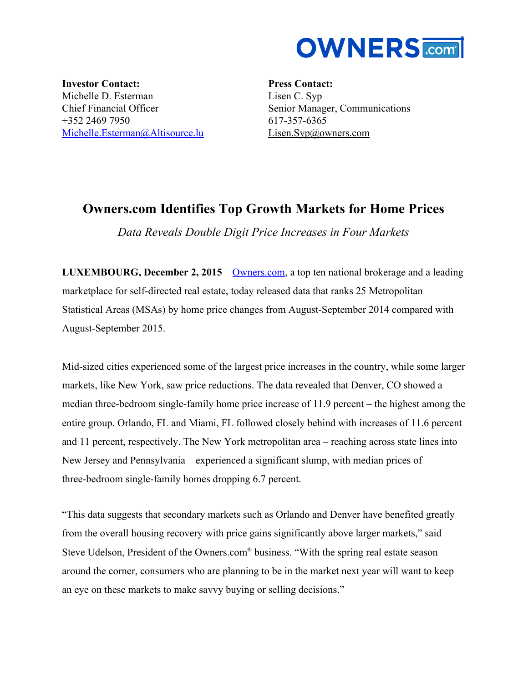

**Investor Contact:** Michelle D. Esterman Chief Financial Officer +352 2469 7950 [Michelle.Esterman@Altisource.lu](mailto:Michelle.Esterman@Altisource.lu)

**Press Contact:** Lisen C. Syp Senior Manager, Communications 617-357-6365 [Lisen.Syp@owners.com](mailto:Lisen.Syp@owners.com)

# **Owners.com Identifies Top Growth Markets for Home Prices**

*Data Reveals Double Digit Price Increases in Four Markets*

**LUXEMBOURG, December 2, 2015**– [Owners.com,](http://www.owners.com/?utm_campaign=Ownersq3top25&utm_source=PR&utm_medium=PR&utm_content=body) a top ten national brokerage and a leading marketplace for self-directed real estate, today released data that ranks 25 Metropolitan Statistical Areas (MSAs) by home price changes from August-September 2014 compared with August-September 2015.

Mid-sized cities experienced some of the largest price increases in the country, while some larger markets, like New York, saw price reductions. The data revealed that Denver, CO showed a median three-bedroom single-family home price increase of 11.9 percent – the highest among the entire group. Orlando, FL and Miami, FL followed closely behind with increases of 11.6 percent and 11 percent, respectively. The New York metropolitan area – reaching across state lines into New Jersey and Pennsylvania – experienced a significant slump, with median prices of three-bedroom single-family homes dropping 6.7 percent.

"This data suggests that secondary markets such as Orlando and Denver have benefited greatly from the overall housing recovery with price gains significantly above larger markets," said Steve Udelson, President of the Owners.com® business. "With the spring real estate season around the corner, consumers who are planning to be in the market next year will want to keep an eye on these markets to make savvy buying or selling decisions."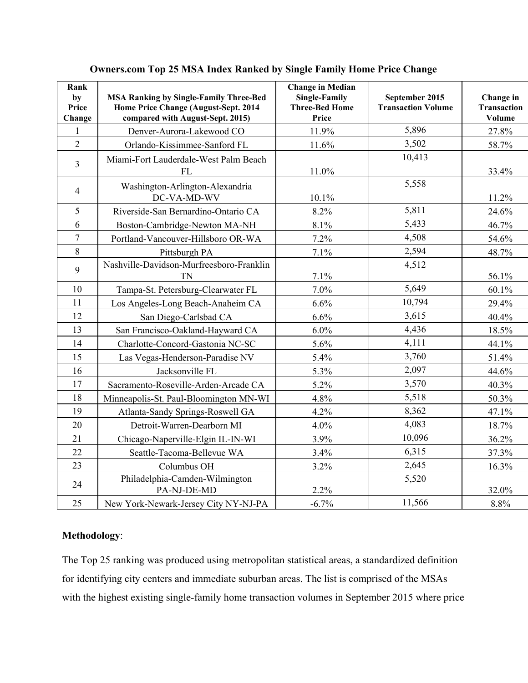| Rank<br>by<br>Price<br>Change | <b>MSA Ranking by Single-Family Three-Bed</b><br>Home Price Change (August-Sept. 2014<br>compared with August-Sept. 2015) | <b>Change in Median</b><br><b>Single-Family</b><br><b>Three-Bed Home</b><br>Price | September 2015<br><b>Transaction Volume</b> | Change in<br><b>Transaction</b><br>Volume |
|-------------------------------|---------------------------------------------------------------------------------------------------------------------------|-----------------------------------------------------------------------------------|---------------------------------------------|-------------------------------------------|
| 1                             | Denver-Aurora-Lakewood CO                                                                                                 | 11.9%                                                                             | 5,896                                       | 27.8%                                     |
| $\overline{2}$                | Orlando-Kissimmee-Sanford FL                                                                                              | 11.6%                                                                             | 3,502                                       | 58.7%                                     |
| 3                             | Miami-Fort Lauderdale-West Palm Beach<br>FL                                                                               | 11.0%                                                                             | 10,413                                      | 33.4%                                     |
| $\overline{4}$                | Washington-Arlington-Alexandria<br>DC-VA-MD-WV                                                                            | 10.1%                                                                             | 5,558                                       | 11.2%                                     |
| 5                             | Riverside-San Bernardino-Ontario CA                                                                                       | 8.2%                                                                              | 5,811                                       | 24.6%                                     |
| 6                             | Boston-Cambridge-Newton MA-NH                                                                                             | 8.1%                                                                              | 5,433                                       | 46.7%                                     |
| $\overline{7}$                | Portland-Vancouver-Hillsboro OR-WA                                                                                        | 7.2%                                                                              | 4,508                                       | 54.6%                                     |
| 8                             | Pittsburgh PA                                                                                                             | 7.1%                                                                              | 2,594                                       | 48.7%                                     |
| 9                             | Nashville-Davidson-Murfreesboro-Franklin<br>TN                                                                            | 7.1%                                                                              | 4,512                                       | 56.1%                                     |
| 10                            | Tampa-St. Petersburg-Clearwater FL                                                                                        | 7.0%                                                                              | 5,649                                       | 60.1%                                     |
| 11                            | Los Angeles-Long Beach-Anaheim CA                                                                                         | 6.6%                                                                              | 10,794                                      | 29.4%                                     |
| 12                            | San Diego-Carlsbad CA                                                                                                     | 6.6%                                                                              | 3,615                                       | 40.4%                                     |
| 13                            | San Francisco-Oakland-Hayward CA                                                                                          | $6.0\%$                                                                           | 4,436                                       | 18.5%                                     |
| 14                            | Charlotte-Concord-Gastonia NC-SC                                                                                          | 5.6%                                                                              | 4,111                                       | 44.1%                                     |
| 15                            | Las Vegas-Henderson-Paradise NV                                                                                           | 5.4%                                                                              | 3,760                                       | 51.4%                                     |
| 16                            | Jacksonville FL                                                                                                           | 5.3%                                                                              | 2,097                                       | 44.6%                                     |
| 17                            | Sacramento-Roseville-Arden-Arcade CA                                                                                      | 5.2%                                                                              | 3,570                                       | 40.3%                                     |
| 18                            | Minneapolis-St. Paul-Bloomington MN-WI                                                                                    | 4.8%                                                                              | 5,518                                       | 50.3%                                     |
| 19                            | Atlanta-Sandy Springs-Roswell GA                                                                                          | 4.2%                                                                              | 8,362                                       | 47.1%                                     |
| 20                            | Detroit-Warren-Dearborn MI                                                                                                | 4.0%                                                                              | 4,083                                       | 18.7%                                     |
| 21                            | Chicago-Naperville-Elgin IL-IN-WI                                                                                         | 3.9%                                                                              | 10,096                                      | 36.2%                                     |
| 22                            | Seattle-Tacoma-Bellevue WA                                                                                                | 3.4%                                                                              | 6,315                                       | 37.3%                                     |
| 23                            | Columbus OH                                                                                                               | 3.2%                                                                              | 2,645                                       | 16.3%                                     |
| 24                            | Philadelphia-Camden-Wilmington<br>PA-NJ-DE-MD                                                                             | 2.2%                                                                              | 5,520                                       | 32.0%                                     |
| 25                            | New York-Newark-Jersey City NY-NJ-PA                                                                                      | $-6.7%$                                                                           | 11,566                                      | 8.8%                                      |

## **Owners.com Top 25 MSA Index Ranked by Single Family Home Price Change**

### **Methodology**:

The Top 25 ranking was produced using metropolitan statistical areas, a standardized definition for identifying city centers and immediate suburban areas. The list is comprised of the MSAs with the highest existing single-family home transaction volumes in September 2015 where price